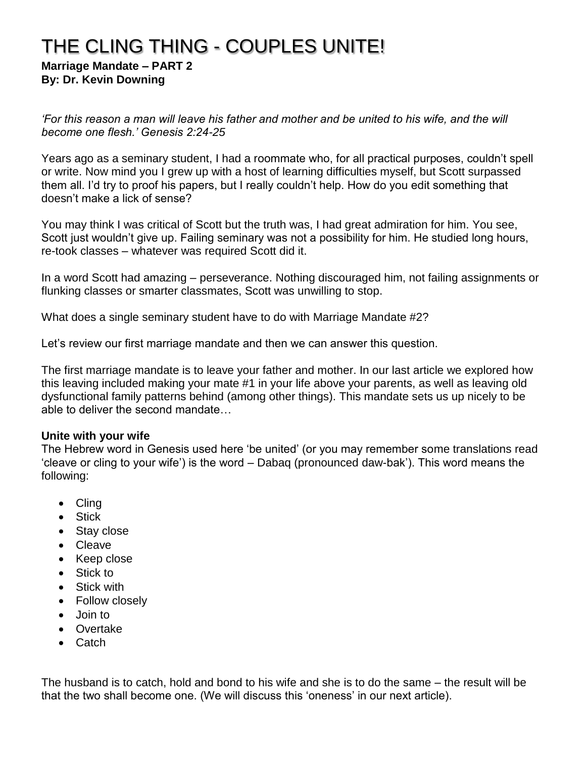# THE CLING THING - COUPLES UNITE!

**Marriage Mandate – PART 2 By: Dr. Kevin Downing**

*'For this reason a man will leave his father and mother and be united to his wife, and the will become one flesh.' Genesis 2:24-25*

Years ago as a seminary student, I had a roommate who, for all practical purposes, couldn't spell or write. Now mind you I grew up with a host of learning difficulties myself, but Scott surpassed them all. I'd try to proof his papers, but I really couldn't help. How do you edit something that doesn't make a lick of sense?

You may think I was critical of Scott but the truth was, I had great admiration for him. You see, Scott just wouldn't give up. Failing seminary was not a possibility for him. He studied long hours, re-took classes – whatever was required Scott did it.

In a word Scott had amazing – perseverance. Nothing discouraged him, not failing assignments or flunking classes or smarter classmates, Scott was unwilling to stop.

What does a single seminary student have to do with Marriage Mandate #2?

Let's review our first marriage mandate and then we can answer this question.

The first marriage mandate is to leave your father and mother. In our last article we explored how this leaving included making your mate #1 in your life above your parents, as well as leaving old dysfunctional family patterns behind (among other things). This mandate sets us up nicely to be able to deliver the second mandate…

#### **Unite with your wife**

The Hebrew word in Genesis used here 'be united' (or you may remember some translations read 'cleave or cling to your wife') is the word – Dabaq (pronounced daw-bak'). This word means the following:

- Cling
- Stick
- Stay close
- Cleave
- Keep close
- Stick to
- Stick with
- Follow closely
- Join to
- Overtake
- Catch

The husband is to catch, hold and bond to his wife and she is to do the same – the result will be that the two shall become one. (We will discuss this 'oneness' in our next article).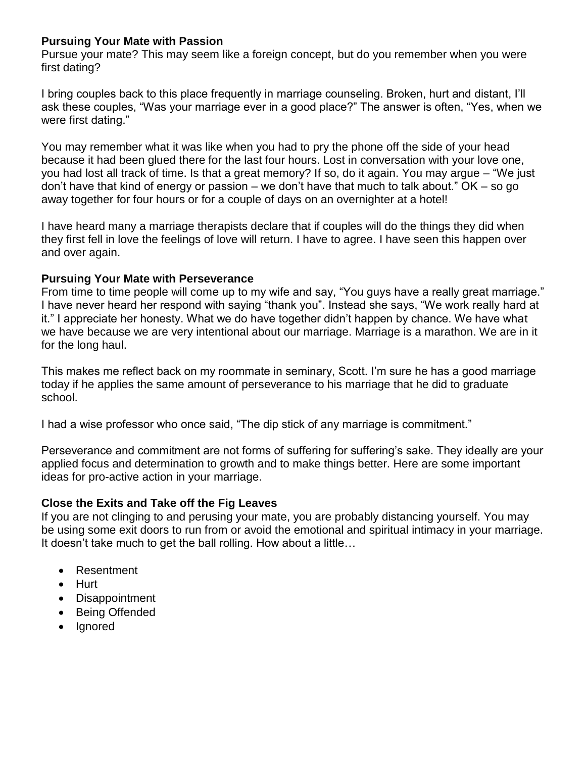## **Pursuing Your Mate with Passion**

Pursue your mate? This may seem like a foreign concept, but do you remember when you were first dating?

I bring couples back to this place frequently in marriage counseling. Broken, hurt and distant, I'll ask these couples, "Was your marriage ever in a good place?" The answer is often, "Yes, when we were first dating."

You may remember what it was like when you had to pry the phone off the side of your head because it had been glued there for the last four hours. Lost in conversation with your love one, you had lost all track of time. Is that a great memory? If so, do it again. You may argue – "We just don't have that kind of energy or passion – we don't have that much to talk about." OK – so go away together for four hours or for a couple of days on an overnighter at a hotel!

I have heard many a marriage therapists declare that if couples will do the things they did when they first fell in love the feelings of love will return. I have to agree. I have seen this happen over and over again.

#### **Pursuing Your Mate with Perseverance**

From time to time people will come up to my wife and say, "You guys have a really great marriage." I have never heard her respond with saying "thank you". Instead she says, "We work really hard at it." I appreciate her honesty. What we do have together didn't happen by chance. We have what we have because we are very intentional about our marriage. Marriage is a marathon. We are in it for the long haul.

This makes me reflect back on my roommate in seminary, Scott. I'm sure he has a good marriage today if he applies the same amount of perseverance to his marriage that he did to graduate school.

I had a wise professor who once said, "The dip stick of any marriage is commitment."

Perseverance and commitment are not forms of suffering for suffering's sake. They ideally are your applied focus and determination to growth and to make things better. Here are some important ideas for pro-active action in your marriage.

## **Close the Exits and Take off the Fig Leaves**

If you are not clinging to and perusing your mate, you are probably distancing yourself. You may be using some exit doors to run from or avoid the emotional and spiritual intimacy in your marriage. It doesn't take much to get the ball rolling. How about a little…

- Resentment
- Hurt
- Disappointment
- Being Offended
- Ignored